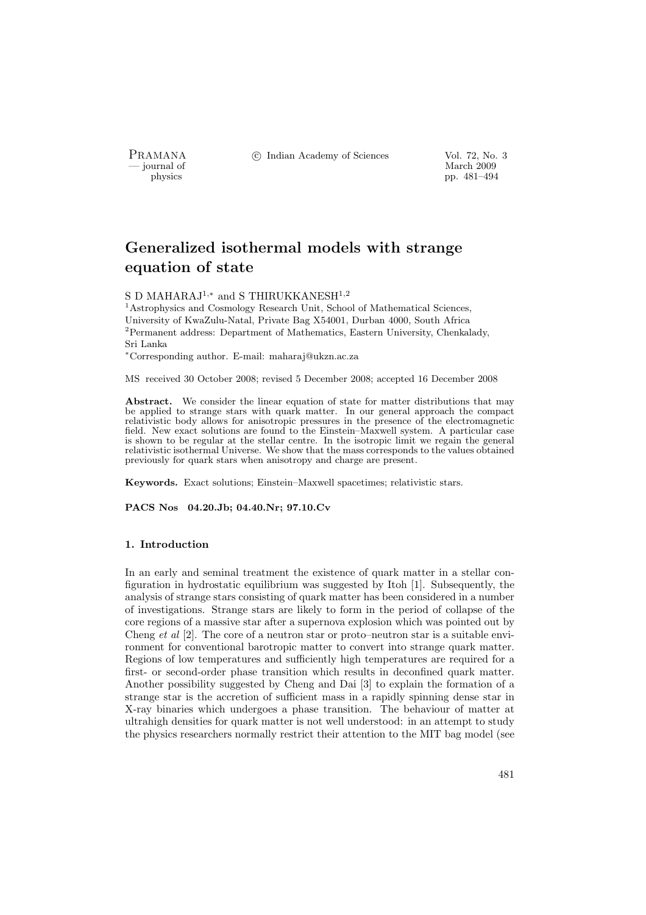— journal of March 2009

PRAMANA <sup>C</sup> Indian Academy of Sciences Vol. 72, No. 3<br>
indian Academy of Sciences Vol. 72, No. 3

physics pp. 481–494

# Generalized isothermal models with strange equation of state

# S D MAHARAJ<sup>1,∗</sup> and S THIRUKKANESH<sup>1,2</sup>

 $^{\rm 1}$  Astrophysics and Cosmology Research Unit, School of Mathematical Sciences, University of KwaZulu-Natal, Private Bag X54001, Durban 4000, South Africa  $2$ Permanent address: Department of Mathematics, Eastern University, Chenkalady, Sri Lanka

<sup>∗</sup>Corresponding author. E-mail: maharaj@ukzn.ac.za

MS received 30 October 2008; revised 5 December 2008; accepted 16 December 2008

Abstract. We consider the linear equation of state for matter distributions that may be applied to strange stars with quark matter. In our general approach the compact relativistic body allows for anisotropic pressures in the presence of the electromagnetic field. New exact solutions are found to the Einstein–Maxwell system. A particular case is shown to be regular at the stellar centre. In the isotropic limit we regain the general relativistic isothermal Universe. We show that the mass corresponds to the values obtained previously for quark stars when anisotropy and charge are present.

Keywords. Exact solutions; Einstein–Maxwell spacetimes; relativistic stars.

PACS Nos 04.20.Jb; 04.40.Nr; 97.10.Cv

#### 1. Introduction

In an early and seminal treatment the existence of quark matter in a stellar configuration in hydrostatic equilibrium was suggested by Itoh [1]. Subsequently, the analysis of strange stars consisting of quark matter has been considered in a number of investigations. Strange stars are likely to form in the period of collapse of the core regions of a massive star after a supernova explosion which was pointed out by Cheng *et al* [2]. The core of a neutron star or proto–neutron star is a suitable environment for conventional barotropic matter to convert into strange quark matter. Regions of low temperatures and sufficiently high temperatures are required for a first- or second-order phase transition which results in deconfined quark matter. Another possibility suggested by Cheng and Dai [3] to explain the formation of a strange star is the accretion of sufficient mass in a rapidly spinning dense star in X-ray binaries which undergoes a phase transition. The behaviour of matter at ultrahigh densities for quark matter is not well understood: in an attempt to study the physics researchers normally restrict their attention to the MIT bag model (see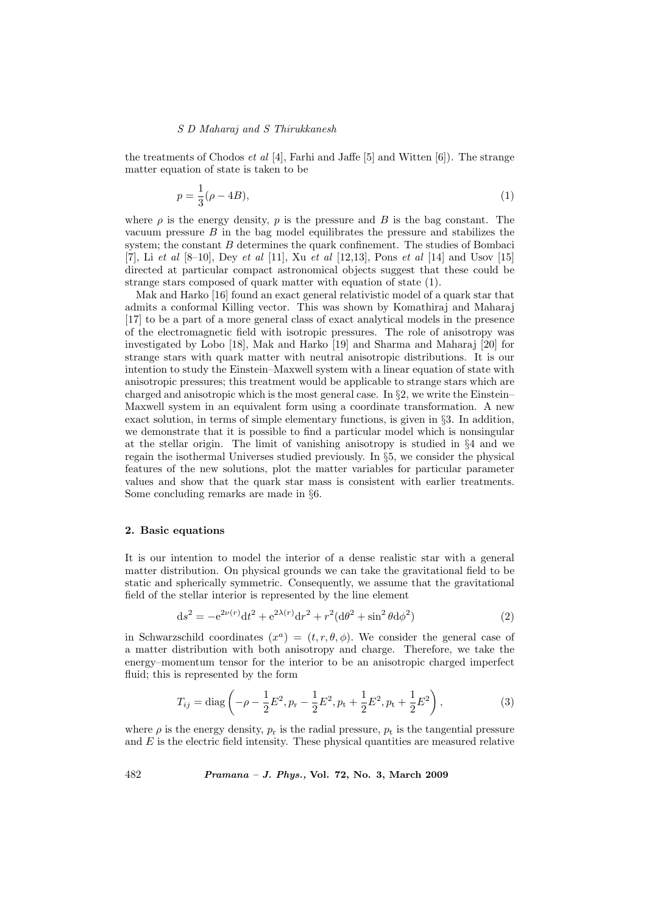the treatments of Chodos *et al* [4], Farhi and Jaffe [5] and Witten [6]). The strange matter equation of state is taken to be

$$
p = \frac{1}{3}(\rho - 4B),
$$
\n(1)

where  $\rho$  is the energy density, p is the pressure and B is the bag constant. The vacuum pressure  $B$  in the bag model equilibrates the pressure and stabilizes the system; the constant B determines the quark confinement. The studies of Bombaci [7], Li et al [8–10], Dey et al [11], Xu et al [12,13], Pons et al [14] and Usov [15] directed at particular compact astronomical objects suggest that these could be strange stars composed of quark matter with equation of state (1).

Mak and Harko [16] found an exact general relativistic model of a quark star that admits a conformal Killing vector. This was shown by Komathiraj and Maharaj [17] to be a part of a more general class of exact analytical models in the presence of the electromagnetic field with isotropic pressures. The role of anisotropy was investigated by Lobo [18], Mak and Harko [19] and Sharma and Maharaj [20] for strange stars with quark matter with neutral anisotropic distributions. It is our intention to study the Einstein–Maxwell system with a linear equation of state with anisotropic pressures; this treatment would be applicable to strange stars which are charged and anisotropic which is the most general case. In §2, we write the Einstein– Maxwell system in an equivalent form using a coordinate transformation. A new exact solution, in terms of simple elementary functions, is given in §3. In addition, we demonstrate that it is possible to find a particular model which is nonsingular at the stellar origin. The limit of vanishing anisotropy is studied in §4 and we regain the isothermal Universes studied previously. In §5, we consider the physical features of the new solutions, plot the matter variables for particular parameter values and show that the quark star mass is consistent with earlier treatments. Some concluding remarks are made in §6.

## 2. Basic equations

It is our intention to model the interior of a dense realistic star with a general matter distribution. On physical grounds we can take the gravitational field to be static and spherically symmetric. Consequently, we assume that the gravitational field of the stellar interior is represented by the line element

$$
ds^{2} = -e^{2\nu(r)}dt^{2} + e^{2\lambda(r)}dr^{2} + r^{2}(d\theta^{2} + \sin^{2}\theta d\phi^{2})
$$
\n(2)

in Schwarzschild coordinates  $(x^a) = (t, r, \theta, \phi)$ . We consider the general case of a matter distribution with both anisotropy and charge. Therefore, we take the energy–momentum tensor for the interior to be an anisotropic charged imperfect fluid; this is represented by the form

$$
T_{ij} = \text{diag}\left(-\rho - \frac{1}{2}E^2, p_r - \frac{1}{2}E^2, p_t + \frac{1}{2}E^2, p_t + \frac{1}{2}E^2\right),\tag{3}
$$

where  $\rho$  is the energy density,  $p_r$  is the radial pressure,  $p_t$  is the tangential pressure and  $E$  is the electric field intensity. These physical quantities are measured relative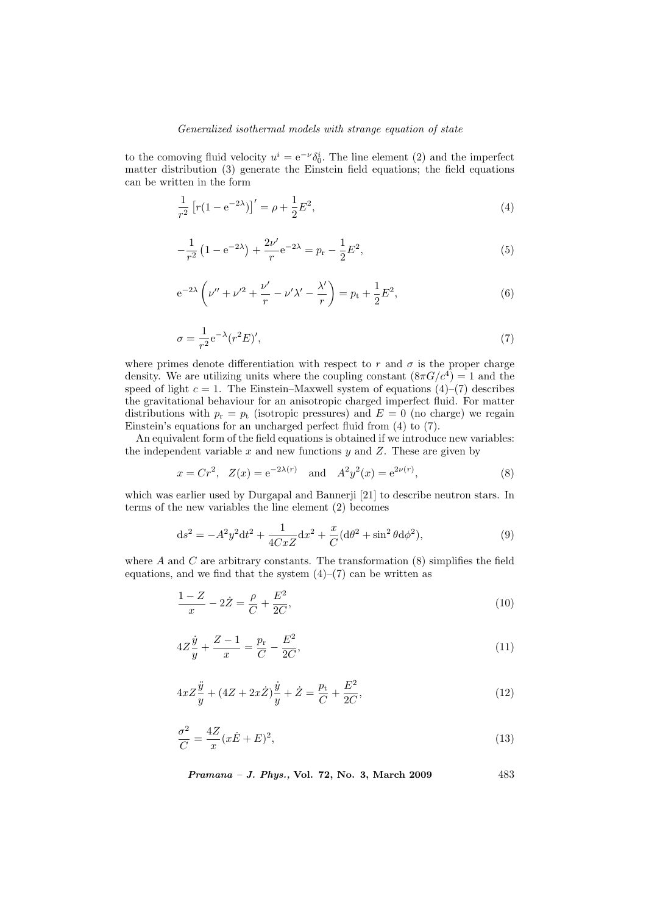# Generalized isothermal models with strange equation of state

to the comoving fluid velocity  $u^i = e^{-\nu} \delta_0^i$ . The line element (2) and the imperfect matter distribution (3) generate the Einstein field equations; the field equations can be written in the form

$$
\frac{1}{r^2} \left[ r(1 - e^{-2\lambda}) \right]' = \rho + \frac{1}{2} E^2,\tag{4}
$$

$$
-\frac{1}{r^2}\left(1 - e^{-2\lambda}\right) + \frac{2\nu'}{r}e^{-2\lambda} = p_r - \frac{1}{2}E^2,
$$
\n(5)

$$
e^{-2\lambda} \left( \nu'' + \nu'^2 + \frac{\nu'}{r} - \nu'\lambda' - \frac{\lambda'}{r} \right) = p_t + \frac{1}{2}E^2,
$$
 (6)

$$
\sigma = \frac{1}{r^2} e^{-\lambda} (r^2 E)',\tag{7}
$$

where primes denote differentiation with respect to r and  $\sigma$  is the proper charge density. We are utilizing units where the coupling constant  $(8\pi G/c^4) = 1$  and the speed of light  $c = 1$ . The Einstein–Maxwell system of equations  $(4)$ – $(7)$  describes the gravitational behaviour for an anisotropic charged imperfect fluid. For matter distributions with  $p_r = p_t$  (isotropic pressures) and  $E = 0$  (no charge) we regain Einstein's equations for an uncharged perfect fluid from (4) to (7).

An equivalent form of the field equations is obtained if we introduce new variables: the independent variable  $x$  and new functions  $y$  and  $Z$ . These are given by

$$
x = Cr^2
$$
,  $Z(x) = e^{-2\lambda(r)}$  and  $A^2y^2(x) = e^{2\nu(r)}$ , (8)

which was earlier used by Durgapal and Bannerji [21] to describe neutron stars. In terms of the new variables the line element (2) becomes

$$
ds^{2} = -A^{2}y^{2}dt^{2} + \frac{1}{4CxZ}dx^{2} + \frac{x}{C}(d\theta^{2} + \sin^{2}\theta d\phi^{2}),
$$
\n(9)

where  $A$  and  $C$  are arbitrary constants. The transformation  $(8)$  simplifies the field equations, and we find that the system  $(4)$ – $(7)$  can be written as

$$
\frac{1-Z}{x} - 2\dot{Z} = \frac{\rho}{C} + \frac{E^2}{2C},\tag{10}
$$

$$
4Z\frac{\dot{y}}{y} + \frac{Z-1}{x} = \frac{p_r}{C} - \frac{E^2}{2C},\tag{11}
$$

$$
4xZ\frac{\ddot{y}}{y} + (4Z + 2x\dot{Z})\frac{\dot{y}}{y} + \dot{Z} = \frac{p_t}{C} + \frac{E^2}{2C},\tag{12}
$$

$$
\frac{\sigma^2}{C} = \frac{4Z}{x}(x\dot{E} + E)^2,
$$
\n(13)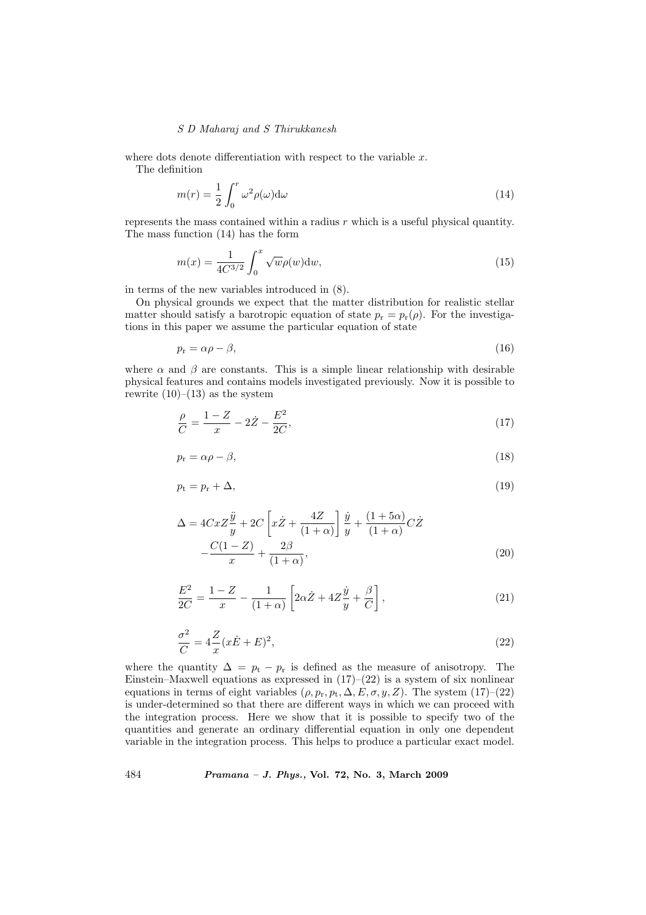where dots denote differentiation with respect to the variable  $x$ .

The definition

$$
m(r) = \frac{1}{2} \int_0^r \omega^2 \rho(\omega) d\omega \tag{14}
$$

represents the mass contained within a radius  $r$  which is a useful physical quantity. The mass function (14) has the form

$$
m(x) = \frac{1}{4C^{3/2}} \int_0^x \sqrt{w} \rho(w) \, dw,
$$
\n(15)

in terms of the new variables introduced in (8).

On physical grounds we expect that the matter distribution for realistic stellar matter should satisfy a barotropic equation of state  $p_r = p_r(\rho)$ . For the investigations in this paper we assume the particular equation of state

$$
p_{\rm r} = \alpha \rho - \beta,\tag{16}
$$

where  $\alpha$  and  $\beta$  are constants. This is a simple linear relationship with desirable physical features and contains models investigated previously. Now it is possible to rewrite  $(10)$ – $(13)$  as the system

$$
\frac{\rho}{C} = \frac{1 - Z}{x} - 2\dot{Z} - \frac{E^2}{2C},\tag{17}
$$

$$
p_{\rm r} = \alpha \rho - \beta,\tag{18}
$$

$$
p_{t} = p_{r} + \Delta, \tag{19}
$$

$$
\Delta = 4CxZ\frac{\ddot{y}}{y} + 2C\left[x\dot{Z} + \frac{4Z}{(1+\alpha)}\right]\frac{\dot{y}}{y} + \frac{(1+5\alpha)}{(1+\alpha)}C\dot{Z}
$$

$$
-\frac{C(1-Z)}{x} + \frac{2\beta}{(1+\alpha)},\tag{20}
$$

$$
\frac{E^2}{2C} = \frac{1-Z}{x} - \frac{1}{(1+\alpha)} \left[ 2\alpha \dot{Z} + 4Z\frac{\dot{y}}{y} + \frac{\beta}{C} \right],\tag{21}
$$

$$
\frac{\sigma^2}{C} = 4\frac{Z}{x}(x\dot{E} + E)^2,\tag{22}
$$

where the quantity  $\Delta = p_t - p_r$  is defined as the measure of anisotropy. The Einstein–Maxwell equations as expressed in  $(17)$ – $(22)$  is a system of six nonlinear equations in terms of eight variables  $(\rho, p_r, p_t, \Delta, E, \sigma, y, Z)$ . The system (17)–(22) is under-determined so that there are different ways in which we can proceed with the integration process. Here we show that it is possible to specify two of the quantities and generate an ordinary differential equation in only one dependent variable in the integration process. This helps to produce a particular exact model.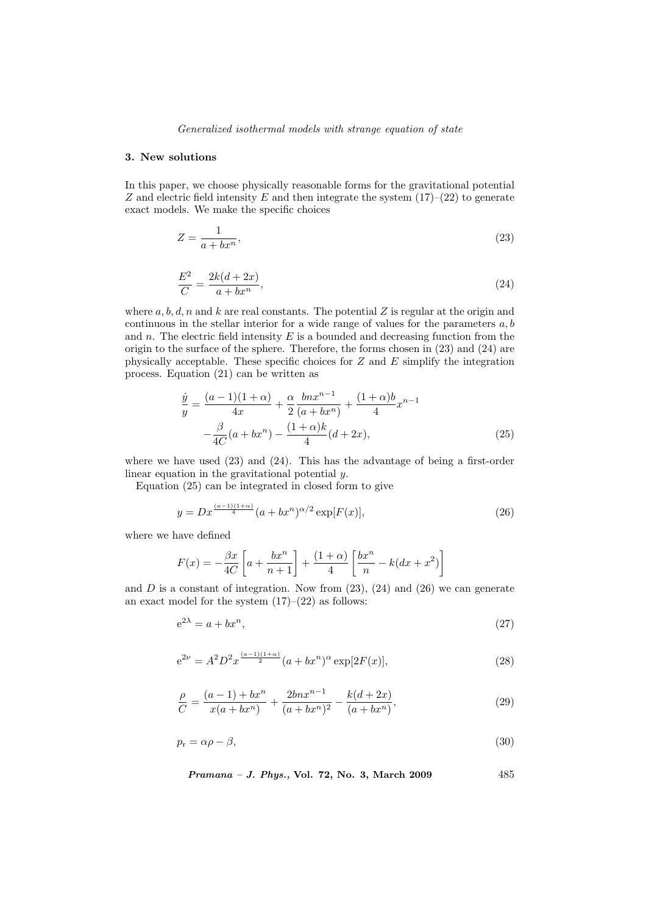#### 3. New solutions

In this paper, we choose physically reasonable forms for the gravitational potential Z and electric field intensity E and then integrate the system  $(17)$ – $(22)$  to generate exact models. We make the specific choices

$$
Z = \frac{1}{a + bx^n},\tag{23}
$$

$$
\frac{E^2}{C} = \frac{2k(d+2x)}{a+bx^n},
$$
\n(24)

where  $a, b, d, n$  and k are real constants. The potential Z is regular at the origin and continuous in the stellar interior for a wide range of values for the parameters  $a, b$ and  $n$ . The electric field intensity  $E$  is a bounded and decreasing function from the origin to the surface of the sphere. Therefore, the forms chosen in (23) and (24) are physically acceptable. These specific choices for  $Z$  and  $E$  simplify the integration process. Equation (21) can be written as

$$
\frac{\dot{y}}{y} = \frac{(a-1)(1+\alpha)}{4x} + \frac{\alpha}{2} \frac{bnx^{n-1}}{(a+bx^n)} + \frac{(1+\alpha)b}{4} x^{n-1} - \frac{\beta}{4C} (a+bx^n) - \frac{(1+\alpha)k}{4} (d+2x),
$$
\n(25)

where we have used (23) and (24). This has the advantage of being a first-order linear equation in the gravitational potential y.

Equation (25) can be integrated in closed form to give

$$
y = Dx^{\frac{(a-1)(1+\alpha)}{4}} (a+bx^n)^{\alpha/2} \exp[F(x)], \qquad (26)
$$

where we have defined

$$
F(x) = -\frac{\beta x}{4C} \left[ a + \frac{bx^n}{n+1} \right] + \frac{(1+\alpha)}{4} \left[ \frac{bx^n}{n} - k(dx + x^2) \right]
$$

and  $D$  is a constant of integration. Now from  $(23)$ ,  $(24)$  and  $(26)$  we can generate an exact model for the system  $(17)–(22)$  as follows:

$$
e^{2\lambda} = a + bx^n,\tag{27}
$$

$$
e^{2\nu} = A^2 D^2 x^{\frac{(a-1)(1+\alpha)}{2}} (a+bx^n)^{\alpha} \exp[2F(x)],
$$
\n(28)

$$
\frac{\rho}{C} = \frac{(a-1) + bx^n}{x(a+bx^n)} + \frac{2bnx^{n-1}}{(a+bx^n)^2} - \frac{k(d+2x)}{(a+bx^n)},
$$
\n(29)

$$
p_{\rm r} = \alpha \rho - \beta,\tag{30}
$$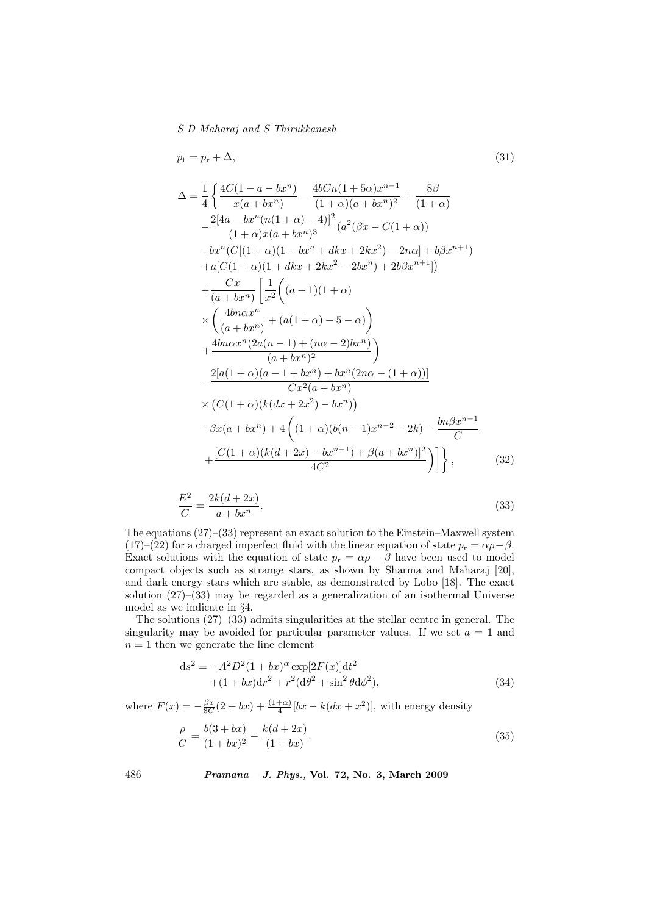$$
p_{t} = p_{r} + \Delta,
$$
\n(31)  
\n
$$
\Delta = \frac{1}{4} \left\{ \frac{4C(1 - a - bx^{n})}{x(a + bx^{n})} - \frac{4bCn(1 + 5\alpha)x^{n-1}}{(1 + \alpha)(a + bx^{n})^{2}} + \frac{8\beta}{(1 + \alpha)} \right\}
$$
\n
$$
- \frac{2[4a - bx^{n}(n(1 + \alpha) - 4)]^{2}}{(1 + \alpha)x(a + bx^{n})^{3}} (a^{2}(\beta x - C(1 + \alpha)) + bx^{n}(C[(1 + \alpha)(1 - bx^{n} + d k x + 2k x^{2}) - 2n\alpha] + b\beta x^{n+1})
$$
\n
$$
+ a[C(1 + \alpha)(1 + d k x + 2k x^{2} - 2b x^{n}) + 2b\beta x^{n+1}])
$$
\n
$$
+ \frac{Cx}{(a + bx^{n})} \left[ \frac{1}{x^{2}} \left( (a - 1)(1 + \alpha) \times \left( \frac{4b n \alpha x^{n}}{(a + bx^{n})} + (a(1 + \alpha) - 5 - \alpha) \right) \right) + \frac{4b n \alpha x^{n} (2a(n - 1) + (n\alpha - 2)bx^{n})}{(a + bx^{n})^{2}} \right]
$$
\n
$$
- \frac{2[a(1 + \alpha)(a - 1 + bx^{n}) + bx^{n}(2n\alpha - (1 + \alpha))]}{Cx^{2}(a + bx^{n})}
$$
\n
$$
\times (C(1 + \alpha)(k(dx + 2x^{2}) - bx^{n}))
$$
\n
$$
+ \beta x(a + bx^{n}) + 4 \left( (1 + \alpha)(b(n - 1)x^{n-2} - 2k) - \frac{bn\beta x^{n-1}}{C} + \frac{[C(1 + \alpha)(k(d + 2x) - bx^{n-1}) + \beta(a + bx^{n})]^{2}}{4C^{2}} \right) \right\},
$$
\n(32)

$$
\frac{E^2}{C} = \frac{2k(d+2x)}{a+bx^n}.
$$
\n(33)

The equations (27)–(33) represent an exact solution to the Einstein–Maxwell system (17)–(22) for a charged imperfect fluid with the linear equation of state  $p_r = \alpha \rho - \beta$ . Exact solutions with the equation of state  $p_r = \alpha \rho - \beta$  have been used to model compact objects such as strange stars, as shown by Sharma and Maharaj [20], and dark energy stars which are stable, as demonstrated by Lobo [18]. The exact solution (27)–(33) may be regarded as a generalization of an isothermal Universe model as we indicate in §4.

The solutions (27)–(33) admits singularities at the stellar centre in general. The singularity may be avoided for particular parameter values. If we set  $a = 1$  and  $n=1$  then we generate the line element

$$
ds^{2} = -A^{2}D^{2}(1+bx)^{\alpha} \exp[2F(x)]dt^{2}
$$
  
+(1+bx)dr<sup>2</sup> + r<sup>2</sup>(d $\theta$ <sup>2</sup> + sin<sup>2</sup>  $\theta$ d $\phi$ <sup>2</sup>), (34)

where  $F(x) = -\frac{\beta x}{8C}(2 + bx) + \frac{(1+\alpha)}{4}[bx - k(dx + x^2)],$  with energy density

$$
\frac{\rho}{C} = \frac{b(3+bx)}{(1+bx)^2} - \frac{k(d+2x)}{(1+bx)}.
$$
\n(35)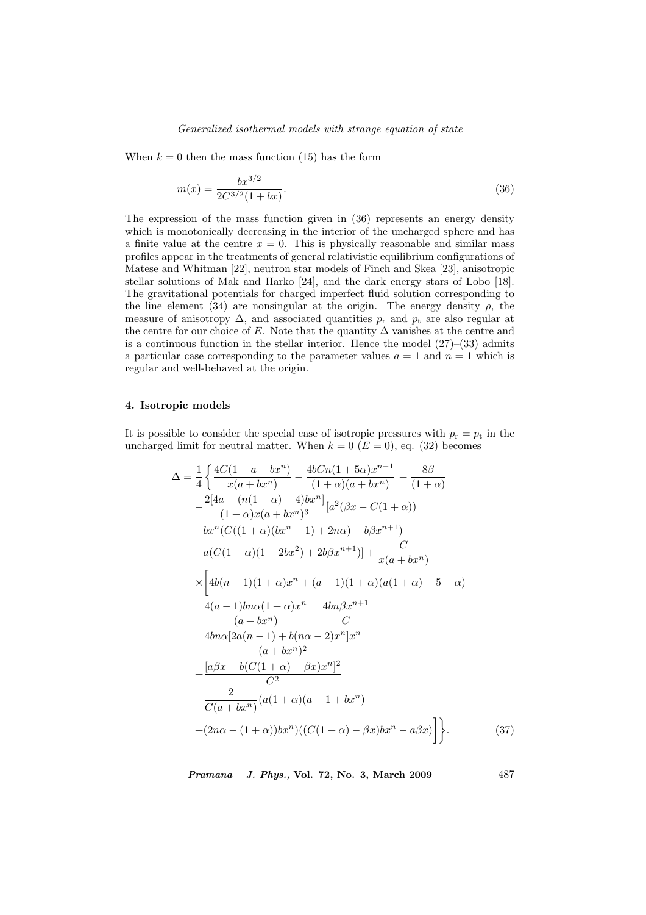When  $k = 0$  then the mass function (15) has the form

$$
m(x) = \frac{bx^{3/2}}{2C^{3/2}(1+bx)}.\tag{36}
$$

The expression of the mass function given in (36) represents an energy density which is monotonically decreasing in the interior of the uncharged sphere and has a finite value at the centre  $x = 0$ . This is physically reasonable and similar mass profiles appear in the treatments of general relativistic equilibrium configurations of Matese and Whitman [22], neutron star models of Finch and Skea [23], anisotropic stellar solutions of Mak and Harko [24], and the dark energy stars of Lobo [18]. The gravitational potentials for charged imperfect fluid solution corresponding to the line element (34) are nonsingular at the origin. The energy density  $\rho$ , the measure of anisotropy  $\Delta$ , and associated quantities  $p_r$  and  $p_t$  are also regular at the centre for our choice of E. Note that the quantity  $\Delta$  vanishes at the centre and is a continuous function in the stellar interior. Hence the model  $(27)$ – $(33)$  admits a particular case corresponding to the parameter values  $a = 1$  and  $n = 1$  which is regular and well-behaved at the origin.

## 4. Isotropic models

It is possible to consider the special case of isotropic pressures with  $p_r = p_t$  in the uncharged limit for neutral matter. When  $k = 0$  ( $E = 0$ ), eq. (32) becomes

$$
\Delta = \frac{1}{4} \left\{ \frac{4C(1 - a - bx^{n})}{x(a + bx^{n})} - \frac{4bCn(1 + 5\alpha)x^{n-1}}{(1 + \alpha)(a + bx^{n})} + \frac{8\beta}{(1 + \alpha)} -\frac{2[4a - (n(1 + \alpha) - 4)bx^{n}]}{(1 + \alpha)x(a + bx^{n})^3} [a^2(\beta x - C(1 + \alpha)) - bx^n(C((1 + \alpha)(bx^{n} - 1) + 2n\alpha) - b\beta x^{n+1}) + a(C(1 + \alpha)(1 - 2bx^{2}) + 2b\beta x^{n+1})] + \frac{C}{x(a + bx^{n})} \times \left[ 4b(n - 1)(1 + \alpha)x^{n} + (a - 1)(1 + \alpha)(a(1 + \alpha) - 5 - \alpha) + \frac{4(a - 1)bn\alpha(1 + \alpha)x^{n}}{(a + bx^{n})} - \frac{4bn\beta x^{n+1}}{C} + \frac{4bn\alpha[2a(n - 1) + b(n\alpha - 2)x^{n}]x^{n}}{(a + bx^{n})^{2}} + \frac{[a\beta x - b(C(1 + \alpha) - \beta x)x^{n}]^{2}}{C^{2}} + \frac{2}{C(a + bx^{n})}(a(1 + \alpha)(a - 1 + bx^{n}) + (2n\alpha - (1 + \alpha))bx^{n})((C(1 + \alpha) - \beta x)bx^{n} - a\beta x)\right\}.
$$
\n(37)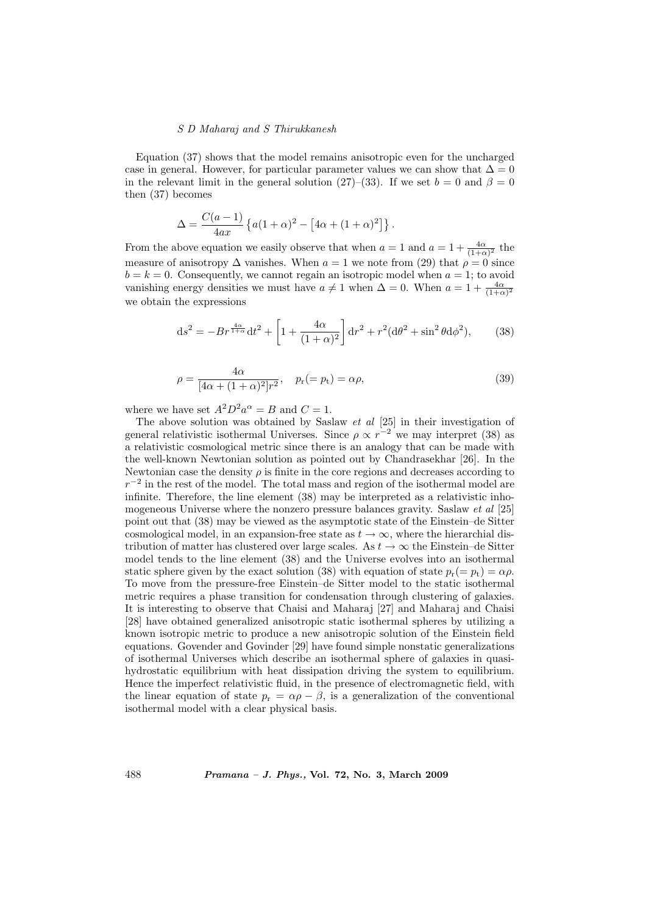Equation (37) shows that the model remains anisotropic even for the uncharged case in general. However, for particular parameter values we can show that  $\Delta = 0$ in the relevant limit in the general solution (27)–(33). If we set  $b = 0$  and  $\beta = 0$ then (37) becomes

$$
\Delta = \frac{C(a-1)}{4ax} \left\{ a(1+\alpha)^2 - \left[ 4\alpha + (1+\alpha)^2 \right] \right\}.
$$

From the above equation we easily observe that when  $a = 1$  and  $a = 1 + \frac{4\alpha}{(1+\alpha)^2}$  the measure of anisotropy  $\Delta$  vanishes. When  $a = 1$  we note from (29) that  $\rho = 0$  since  $b = k = 0$ . Consequently, we cannot regain an isotropic model when  $a = 1$ ; to avoid vanishing energy densities we must have  $a \neq 1$  when  $\Delta = 0$ . When  $a = 1 + \frac{4\alpha}{(1+\alpha)^2}$ we obtain the expressions

$$
ds^{2} = -Br^{\frac{4\alpha}{1+\alpha}}dt^{2} + \left[1 + \frac{4\alpha}{(1+\alpha)^{2}}\right]dr^{2} + r^{2}(d\theta^{2} + \sin^{2}\theta d\phi^{2}),
$$
 (38)

$$
\rho = \frac{4\alpha}{[4\alpha + (1+\alpha)^2]r^2}, \quad p_r(=p_t) = \alpha \rho,
$$
\n(39)

where we have set  $A^2 D^2 a^{\alpha} = B$  and  $C = 1$ .

The above solution was obtained by Saslaw et al [25] in their investigation of general relativistic isothermal Universes. Since  $\rho \propto r^{-2}$  we may interpret (38) as a relativistic cosmological metric since there is an analogy that can be made with the well-known Newtonian solution as pointed out by Chandrasekhar [26]. In the Newtonian case the density  $\rho$  is finite in the core regions and decreases according to  $r^{-2}$  in the rest of the model. The total mass and region of the isothermal model are infinite. Therefore, the line element (38) may be interpreted as a relativistic inhomogeneous Universe where the nonzero pressure balances gravity. Saslaw et al [25] point out that (38) may be viewed as the asymptotic state of the Einstein–de Sitter cosmological model, in an expansion-free state as  $t \to \infty$ , where the hierarchial distribution of matter has clustered over large scales. As  $t \to \infty$  the Einstein–de Sitter model tends to the line element (38) and the Universe evolves into an isothermal static sphere given by the exact solution (38) with equation of state  $p_r(= p_t) = \alpha \rho$ . To move from the pressure-free Einstein–de Sitter model to the static isothermal metric requires a phase transition for condensation through clustering of galaxies. It is interesting to observe that Chaisi and Maharaj [27] and Maharaj and Chaisi [28] have obtained generalized anisotropic static isothermal spheres by utilizing a known isotropic metric to produce a new anisotropic solution of the Einstein field equations. Govender and Govinder [29] have found simple nonstatic generalizations of isothermal Universes which describe an isothermal sphere of galaxies in quasihydrostatic equilibrium with heat dissipation driving the system to equilibrium. Hence the imperfect relativistic fluid, in the presence of electromagnetic field, with the linear equation of state  $p_r = \alpha \rho - \beta$ , is a generalization of the conventional isothermal model with a clear physical basis.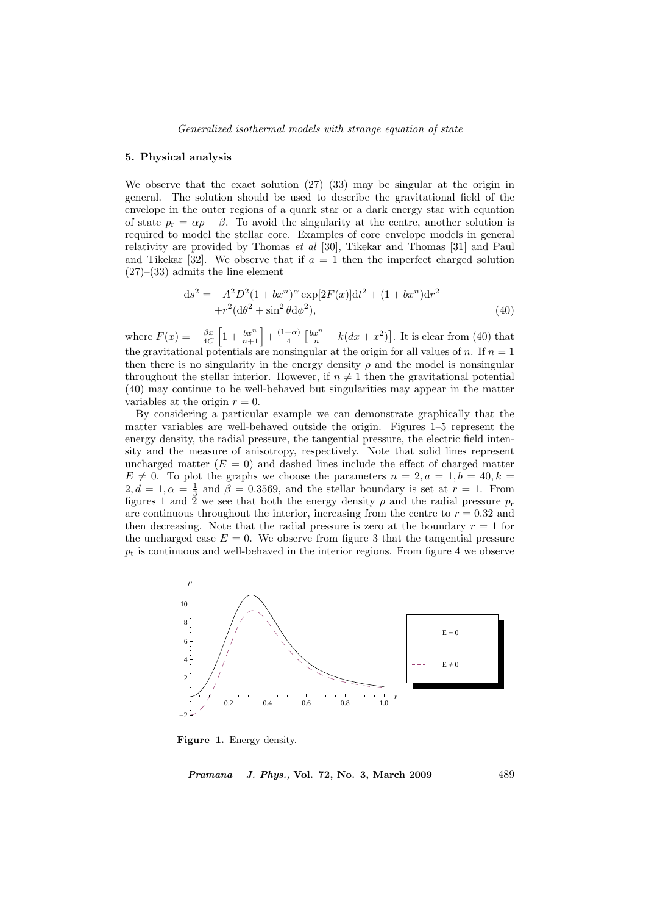#### 5. Physical analysis

We observe that the exact solution  $(27)$ – $(33)$  may be singular at the origin in general. The solution should be used to describe the gravitational field of the envelope in the outer regions of a quark star or a dark energy star with equation of state  $p_r = \alpha \rho - \beta$ . To avoid the singularity at the centre, another solution is required to model the stellar core. Examples of core–envelope models in general relativity are provided by Thomas et al [30], Tikekar and Thomas [31] and Paul and Tikekar [32]. We observe that if  $a = 1$  then the imperfect charged solution  $(27)–(33)$  admits the line element

$$
ds^{2} = -A^{2}D^{2}(1 + bx^{n})^{\alpha} \exp[2F(x)]dt^{2} + (1 + bx^{n})dr^{2} + r^{2}(d\theta^{2} + \sin^{2}\theta d\phi^{2}),
$$
\n(40)

where  $F(x) = -\frac{\beta x}{4C}$ h  $\left[1 + \frac{bx^n}{n+1}\right] + \frac{(1+\alpha)}{4}$ 4  $\left[\frac{bx^n}{n} - k(dx + x^2)\right]$ l<br>E . It is clear from (40) that the gravitational potentials are nonsingular at the origin for all values of n. If  $n = 1$ then there is no singularity in the energy density  $\rho$  and the model is nonsingular throughout the stellar interior. However, if  $n \neq 1$  then the gravitational potential (40) may continue to be well-behaved but singularities may appear in the matter variables at the origin  $r = 0$ .

By considering a particular example we can demonstrate graphically that the matter variables are well-behaved outside the origin. Figures 1–5 represent the energy density, the radial pressure, the tangential pressure, the electric field intensity and the measure of anisotropy, respectively. Note that solid lines represent uncharged matter  $(E = 0)$  and dashed lines include the effect of charged matter  $E \neq 0$ . To plot the graphs we choose the parameters  $n = 2, a = 1, b = 40, k =$  $2, d = 1, \alpha = \frac{1}{3}$  and  $\beta = 0.3569$ , and the stellar boundary is set at  $r = 1$ . From figures 1 and 2 we see that both the energy density  $\rho$  and the radial pressure  $p_r$ are continuous throughout the interior, increasing from the centre to  $r = 0.32$  and then decreasing. Note that the radial pressure is zero at the boundary  $r = 1$  for the uncharged case  $E = 0$ . We observe from figure 3 that the tangential pressure  $p_t$  is continuous and well-behaved in the interior regions. From figure 4 we observe



Figure 1. Energy density.

 $Pramana - J. Phys., Vol. 72, No. 3, March 2009$  489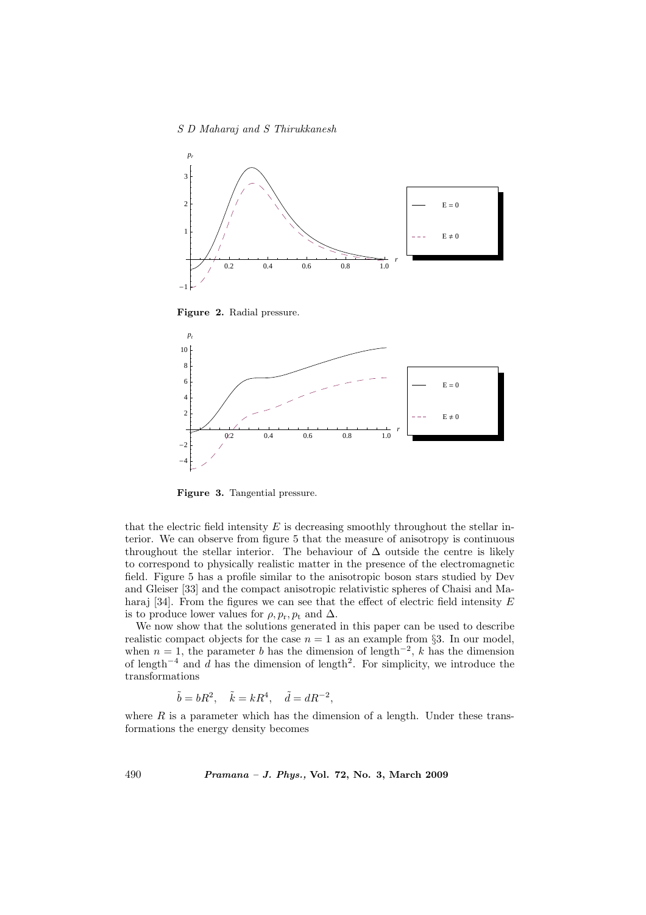

Figure 2. Radial pressure.



Figure 3. Tangential pressure.

that the electric field intensity  $E$  is decreasing smoothly throughout the stellar interior. We can observe from figure 5 that the measure of anisotropy is continuous throughout the stellar interior. The behaviour of  $\Delta$  outside the centre is likely to correspond to physically realistic matter in the presence of the electromagnetic field. Figure 5 has a profile similar to the anisotropic boson stars studied by Dev and Gleiser [33] and the compact anisotropic relativistic spheres of Chaisi and Maharaj [34]. From the figures we can see that the effect of electric field intensity  $E$ is to produce lower values for  $\rho, p_r, p_t$  and  $\Delta$ .

We now show that the solutions generated in this paper can be used to describe realistic compact objects for the case  $n = 1$  as an example from §3. In our model, when  $n = 1$ , the parameter b has the dimension of length<sup>-2</sup>, k has the dimension of length<sup>-4</sup> and d has the dimension of length<sup>2</sup>. For simplicity, we introduce the transformations

$$
\tilde{b} = bR^2, \quad \tilde{k} = kR^4, \quad \tilde{d} = dR^{-2},
$$

where  $R$  is a parameter which has the dimension of a length. Under these transformations the energy density becomes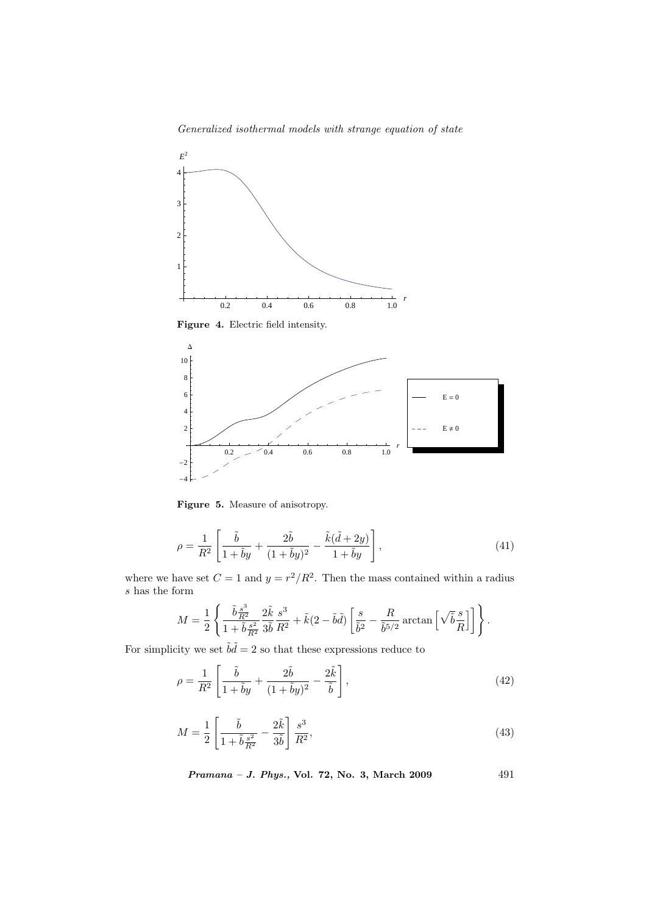Generalized isothermal models with strange equation of state



Figure 4. Electric field intensity.



Figure 5. Measure of anisotropy.

$$
\rho = \frac{1}{R^2} \left[ \frac{\tilde{b}}{1 + \tilde{b}y} + \frac{2\tilde{b}}{(1 + \tilde{b}y)^2} - \frac{\tilde{k}(\tilde{d} + 2y)}{1 + \tilde{b}y} \right],
$$
\n(41)

where we have set  $C = 1$  and  $y = r^2/R^2$ . Then the mass contained within a radius s has the form

$$
M=\frac{1}{2}\left\{\frac{\tilde{b}\frac{s^3}{R^2}}{1+\tilde{b}\frac{s^2}{R^2}}\frac{2\tilde{k}}{3\tilde{b}}\frac{s^3}{R^2}+\tilde{k}(2-\tilde{b}\tilde{d})\left[\frac{s}{\tilde{b}^2}-\frac{R}{\tilde{b}^{5/2}}\arctan\left[\sqrt{\tilde{b}}\frac{s}{R}\right]\right]\right\}.
$$

For simplicity we set  $\tilde{b}\tilde{d} = 2$  so that these expressions reduce to

$$
\rho = \frac{1}{R^2} \left[ \frac{\tilde{b}}{1 + \tilde{b}y} + \frac{2\tilde{b}}{(1 + \tilde{b}y)^2} - \frac{2\tilde{k}}{\tilde{b}} \right],
$$
\n(42)

$$
M = \frac{1}{2} \left[ \frac{\tilde{b}}{1 + \tilde{b} \frac{s^2}{R^2}} - \frac{2\tilde{k}}{3\tilde{b}} \right] \frac{s^3}{R^2},\tag{43}
$$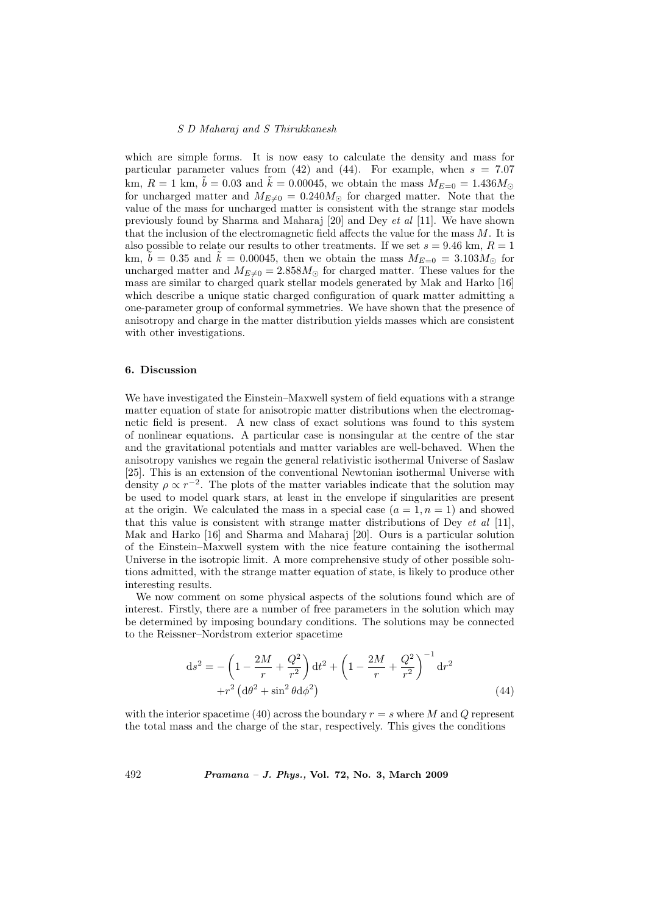which are simple forms. It is now easy to calculate the density and mass for particular parameter values from  $(42)$  and  $(44)$ . For example, when  $s = 7.07$ km,  $R = 1$  km,  $\tilde{b} = 0.03$  and  $\tilde{k} = 0.00045$ , we obtain the mass  $M_{E=0} = 1.436 M_{\odot}$ for uncharged matter and  $M_{E\neq0}=0.240M_{\odot}$  for charged matter. Note that the value of the mass for uncharged matter is consistent with the strange star models previously found by Sharma and Maharaj [20] and Dey et al [11]. We have shown that the inclusion of the electromagnetic field affects the value for the mass M. It is also possible to relate our results to other treatments. If we set  $s = 9.46$  km,  $R = 1$ km,  $b = 0.35$  and  $k = 0.00045$ , then we obtain the mass  $M_{E=0} = 3.103M_{\odot}$  for uncharged matter and  $M_{E\neq0} = 2.858M_{\odot}$  for charged matter. These values for the mass are similar to charged quark stellar models generated by Mak and Harko [16] which describe a unique static charged configuration of quark matter admitting a one-parameter group of conformal symmetries. We have shown that the presence of anisotropy and charge in the matter distribution yields masses which are consistent with other investigations.

## 6. Discussion

We have investigated the Einstein–Maxwell system of field equations with a strange matter equation of state for anisotropic matter distributions when the electromagnetic field is present. A new class of exact solutions was found to this system of nonlinear equations. A particular case is nonsingular at the centre of the star and the gravitational potentials and matter variables are well-behaved. When the anisotropy vanishes we regain the general relativistic isothermal Universe of Saslaw [25]. This is an extension of the conventional Newtonian isothermal Universe with density  $\rho \propto r^{-2}$ . The plots of the matter variables indicate that the solution may be used to model quark stars, at least in the envelope if singularities are present at the origin. We calculated the mass in a special case  $(a = 1, n = 1)$  and showed that this value is consistent with strange matter distributions of Dey  $et \ al \ [11]$ , Mak and Harko [16] and Sharma and Maharaj [20]. Ours is a particular solution of the Einstein–Maxwell system with the nice feature containing the isothermal Universe in the isotropic limit. A more comprehensive study of other possible solutions admitted, with the strange matter equation of state, is likely to produce other interesting results.

We now comment on some physical aspects of the solutions found which are of interest. Firstly, there are a number of free parameters in the solution which may be determined by imposing boundary conditions. The solutions may be connected to the Reissner–Nordstrom exterior spacetime

$$
ds^{2} = -\left(1 - \frac{2M}{r} + \frac{Q^{2}}{r^{2}}\right)dt^{2} + \left(1 - \frac{2M}{r} + \frac{Q^{2}}{r^{2}}\right)^{-1} dr^{2}
$$
  
+
$$
r^{2} \left(d\theta^{2} + \sin^{2}\theta d\phi^{2}\right)
$$
(44)

with the interior spacetime (40) across the boundary  $r = s$  where M and Q represent the total mass and the charge of the star, respectively. This gives the conditions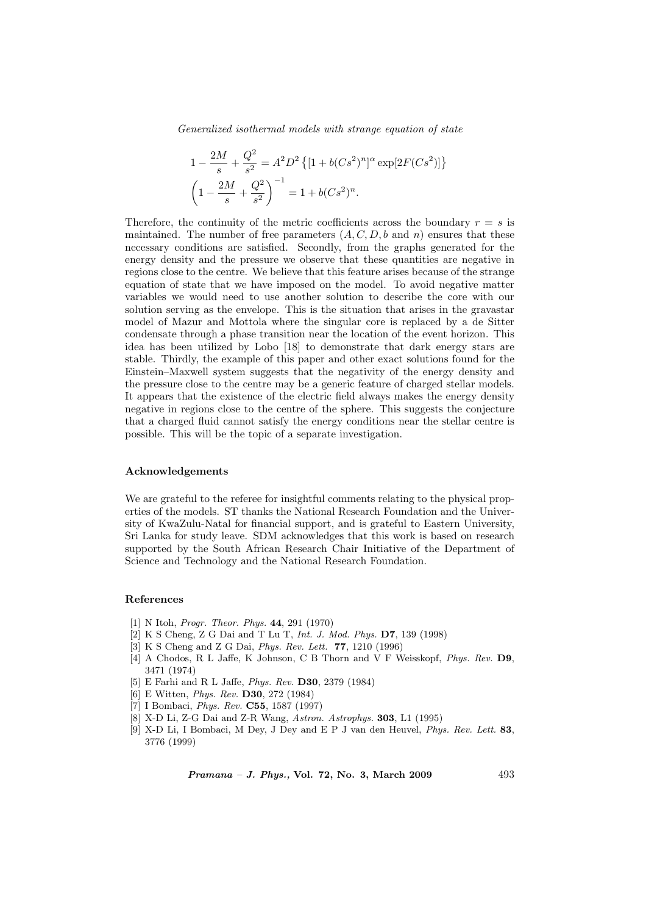Generalized isothermal models with strange equation of state

$$
1 - \frac{2M}{s} + \frac{Q^2}{s^2} = A^2 D^2 \left\{ [1 + b(Cs^2)^n]^\alpha \exp[2F(Cs^2)] \right\}
$$

$$
\left( 1 - \frac{2M}{s} + \frac{Q^2}{s^2} \right)^{-1} = 1 + b(Cs^2)^n.
$$

Therefore, the continuity of the metric coefficients across the boundary  $r = s$  is maintained. The number of free parameters  $(A, C, D, b$  and n) ensures that these necessary conditions are satisfied. Secondly, from the graphs generated for the energy density and the pressure we observe that these quantities are negative in regions close to the centre. We believe that this feature arises because of the strange equation of state that we have imposed on the model. To avoid negative matter variables we would need to use another solution to describe the core with our solution serving as the envelope. This is the situation that arises in the gravastar model of Mazur and Mottola where the singular core is replaced by a de Sitter condensate through a phase transition near the location of the event horizon. This idea has been utilized by Lobo [18] to demonstrate that dark energy stars are stable. Thirdly, the example of this paper and other exact solutions found for the Einstein–Maxwell system suggests that the negativity of the energy density and the pressure close to the centre may be a generic feature of charged stellar models. It appears that the existence of the electric field always makes the energy density negative in regions close to the centre of the sphere. This suggests the conjecture that a charged fluid cannot satisfy the energy conditions near the stellar centre is possible. This will be the topic of a separate investigation.

## Acknowledgements

We are grateful to the referee for insightful comments relating to the physical properties of the models. ST thanks the National Research Foundation and the University of KwaZulu-Natal for financial support, and is grateful to Eastern University, Sri Lanka for study leave. SDM acknowledges that this work is based on research supported by the South African Research Chair Initiative of the Department of Science and Technology and the National Research Foundation.

### References

- [1] N Itoh, *Progr. Theor. Phys.* **44**, 291 (1970)
- [2] K S Cheng, Z G Dai and T Lu T, Int. J. Mod. Phys. D7, 139 (1998)
- [3] K S Cheng and Z G Dai, Phys. Rev. Lett. 77, 1210 (1996)
- [4] A Chodos, R L Jaffe, K Johnson, C B Thorn and V F Weisskopf, Phys. Rev. D9, 3471 (1974)
- [5] E Farhi and R L Jaffe, Phys. Rev. D30, 2379 (1984)
- [6] E Witten, Phys. Rev. D30, 272 (1984)
- [7] I Bombaci, Phys. Rev. C55, 1587 (1997)
- [8] X-D Li, Z-G Dai and Z-R Wang, Astron. Astrophys. 303, L1 (1995)
- [9] X-D Li, I Bombaci, M Dey, J Dey and E P J van den Heuvel, Phys. Rev. Lett. 83, 3776 (1999)